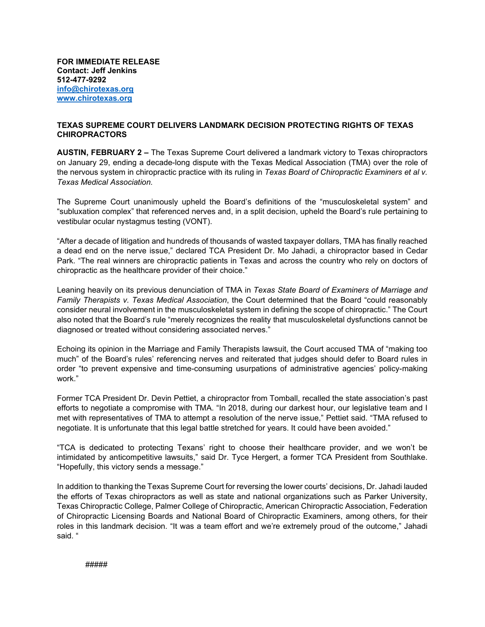**FOR IMMEDIATE RELEASE Contact: Jeff Jenkins 512-477-9292 [info@chirotexas.org](mailto:info@chirotexas.org) [www.chirotexas.org](http://www.chirotexas.org/)**

## **TEXAS SUPREME COURT DELIVERS LANDMARK DECISION PROTECTING RIGHTS OF TEXAS CHIROPRACTORS**

**AUSTIN, FEBRUARY 2 –** The Texas Supreme Court delivered a landmark victory to Texas chiropractors on January 29, ending a decade-long dispute with the Texas Medical Association (TMA) over the role of the nervous system in chiropractic practice with its ruling in *Texas Board of Chiropractic Examiners et al v. Texas Medical Association.*

The Supreme Court unanimously upheld the Board's definitions of the "musculoskeletal system" and "subluxation complex" that referenced nerves and, in a split decision, upheld the Board's rule pertaining to vestibular ocular nystagmus testing (VONT).

"After a decade of litigation and hundreds of thousands of wasted taxpayer dollars, TMA has finally reached a dead end on the nerve issue," declared TCA President Dr. Mo Jahadi, a chiropractor based in Cedar Park. "The real winners are chiropractic patients in Texas and across the country who rely on doctors of chiropractic as the healthcare provider of their choice."

Leaning heavily on its previous denunciation of TMA in *Texas State Board of Examiners of Marriage and Family Therapists v. Texas Medical Association*, the Court determined that the Board "could reasonably consider neural involvement in the musculoskeletal system in defining the scope of chiropractic." The Court also noted that the Board's rule "merely recognizes the reality that musculoskeletal dysfunctions cannot be diagnosed or treated without considering associated nerves."

Echoing its opinion in the Marriage and Family Therapists lawsuit, the Court accused TMA of "making too much" of the Board's rules' referencing nerves and reiterated that judges should defer to Board rules in order "to prevent expensive and time-consuming usurpations of administrative agencies' policy-making work."

Former TCA President Dr. Devin Pettiet, a chiropractor from Tomball, recalled the state association's past efforts to negotiate a compromise with TMA. "In 2018, during our darkest hour, our legislative team and I met with representatives of TMA to attempt a resolution of the nerve issue," Pettiet said. "TMA refused to negotiate. It is unfortunate that this legal battle stretched for years. It could have been avoided."

"TCA is dedicated to protecting Texans' right to choose their healthcare provider, and we won't be intimidated by anticompetitive lawsuits," said Dr. Tyce Hergert, a former TCA President from Southlake. "Hopefully, this victory sends a message."

In addition to thanking the Texas Supreme Court for reversing the lower courts' decisions, Dr. Jahadi lauded the efforts of Texas chiropractors as well as state and national organizations such as Parker University, Texas Chiropractic College, Palmer College of Chiropractic, American Chiropractic Association, Federation of Chiropractic Licensing Boards and National Board of Chiropractic Examiners, among others, for their roles in this landmark decision. "It was a team effort and we're extremely proud of the outcome," Jahadi said. "

#####